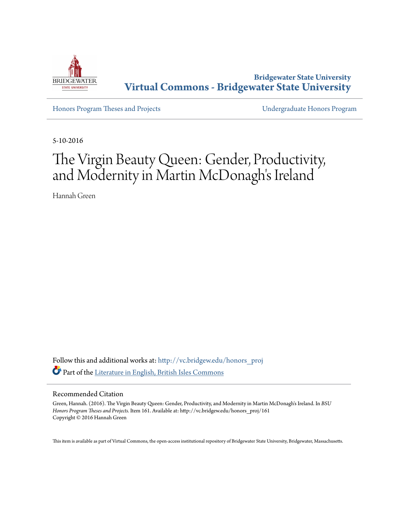

**Bridgewater State University [Virtual Commons - Bridgewater State University](http://vc.bridgew.edu?utm_source=vc.bridgew.edu%2Fhonors_proj%2F161&utm_medium=PDF&utm_campaign=PDFCoverPages)**

[Honors Program Theses and Projects](http://vc.bridgew.edu/honors_proj?utm_source=vc.bridgew.edu%2Fhonors_proj%2F161&utm_medium=PDF&utm_campaign=PDFCoverPages) [Undergraduate Honors Program](http://vc.bridgew.edu/honors?utm_source=vc.bridgew.edu%2Fhonors_proj%2F161&utm_medium=PDF&utm_campaign=PDFCoverPages)

5-10-2016

# The Virgin Beauty Queen: Gender, Productivity, and Modernity in Martin McDonagh's Ireland

Hannah Green

Follow this and additional works at: [http://vc.bridgew.edu/honors\\_proj](http://vc.bridgew.edu/honors_proj?utm_source=vc.bridgew.edu%2Fhonors_proj%2F161&utm_medium=PDF&utm_campaign=PDFCoverPages) Part of the [Literature in English, British Isles Commons](http://network.bepress.com/hgg/discipline/456?utm_source=vc.bridgew.edu%2Fhonors_proj%2F161&utm_medium=PDF&utm_campaign=PDFCoverPages)

#### Recommended Citation

Green, Hannah. (2016). The Virgin Beauty Queen: Gender, Productivity, and Modernity in Martin McDonagh's Ireland. In *BSU Honors Program Theses and Projects.* Item 161. Available at: http://vc.bridgew.edu/honors\_proj/161 Copyright © 2016 Hannah Green

This item is available as part of Virtual Commons, the open-access institutional repository of Bridgewater State University, Bridgewater, Massachusetts.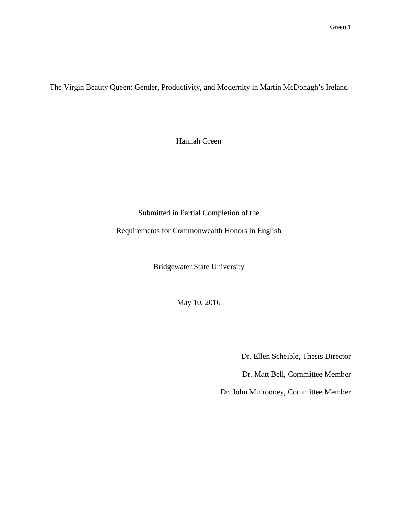The Virgin Beauty Queen: Gender, Productivity, and Modernity in Martin McDonagh's Ireland

Hannah Green

Submitted in Partial Completion of the

Requirements for Commonwealth Honors in English

Bridgewater State University

May 10, 2016

Dr. Ellen Scheible, Thesis Director

Dr. Matt Bell, Committee Member

Dr. John Mulrooney, Committee Member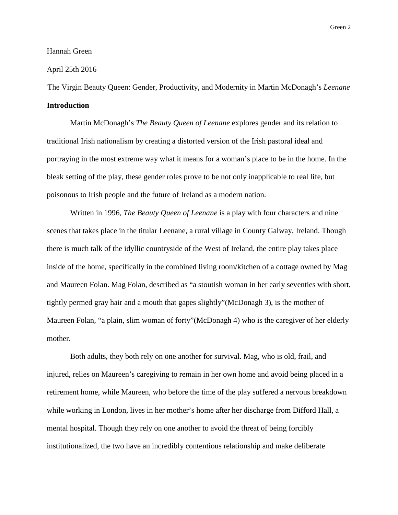#### Hannah Green

### April 25th 2016

The Virgin Beauty Queen: Gender, Productivity, and Modernity in Martin McDonagh's *Leenane* **Introduction**

Martin McDonagh's *The Beauty Queen of Leenane* explores gender and its relation to traditional Irish nationalism by creating a distorted version of the Irish pastoral ideal and portraying in the most extreme way what it means for a woman's place to be in the home. In the bleak setting of the play, these gender roles prove to be not only inapplicable to real life, but poisonous to Irish people and the future of Ireland as a modern nation.

Written in 1996, *The Beauty Queen of Leenane* is a play with four characters and nine scenes that takes place in the titular Leenane, a rural village in County Galway, Ireland. Though there is much talk of the idyllic countryside of the West of Ireland, the entire play takes place inside of the home, specifically in the combined living room/kitchen of a cottage owned by Mag and Maureen Folan. Mag Folan, described as "a stoutish woman in her early seventies with short, tightly permed gray hair and a mouth that gapes slightly"(McDonagh 3), is the mother of Maureen Folan, "a plain, slim woman of forty"(McDonagh 4) who is the caregiver of her elderly mother.

Both adults, they both rely on one another for survival. Mag, who is old, frail, and injured, relies on Maureen's caregiving to remain in her own home and avoid being placed in a retirement home, while Maureen, who before the time of the play suffered a nervous breakdown while working in London, lives in her mother's home after her discharge from Difford Hall, a mental hospital. Though they rely on one another to avoid the threat of being forcibly institutionalized, the two have an incredibly contentious relationship and make deliberate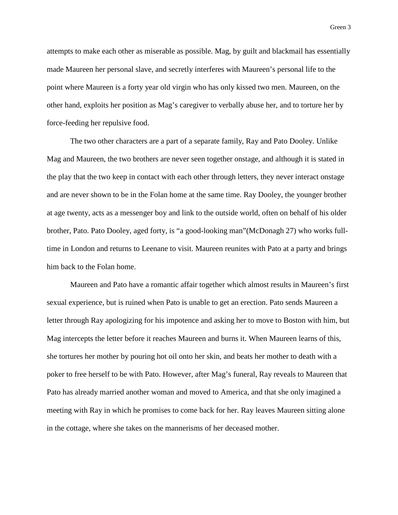attempts to make each other as miserable as possible. Mag, by guilt and blackmail has essentially made Maureen her personal slave, and secretly interferes with Maureen's personal life to the point where Maureen is a forty year old virgin who has only kissed two men. Maureen, on the other hand, exploits her position as Mag's caregiver to verbally abuse her, and to torture her by force-feeding her repulsive food.

The two other characters are a part of a separate family, Ray and Pato Dooley. Unlike Mag and Maureen, the two brothers are never seen together onstage, and although it is stated in the play that the two keep in contact with each other through letters, they never interact onstage and are never shown to be in the Folan home at the same time. Ray Dooley, the younger brother at age twenty, acts as a messenger boy and link to the outside world, often on behalf of his older brother, Pato. Pato Dooley, aged forty, is "a good-looking man"(McDonagh 27) who works fulltime in London and returns to Leenane to visit. Maureen reunites with Pato at a party and brings him back to the Folan home.

Maureen and Pato have a romantic affair together which almost results in Maureen's first sexual experience, but is ruined when Pato is unable to get an erection. Pato sends Maureen a letter through Ray apologizing for his impotence and asking her to move to Boston with him, but Mag intercepts the letter before it reaches Maureen and burns it. When Maureen learns of this, she tortures her mother by pouring hot oil onto her skin, and beats her mother to death with a poker to free herself to be with Pato. However, after Mag's funeral, Ray reveals to Maureen that Pato has already married another woman and moved to America, and that she only imagined a meeting with Ray in which he promises to come back for her. Ray leaves Maureen sitting alone in the cottage, where she takes on the mannerisms of her deceased mother.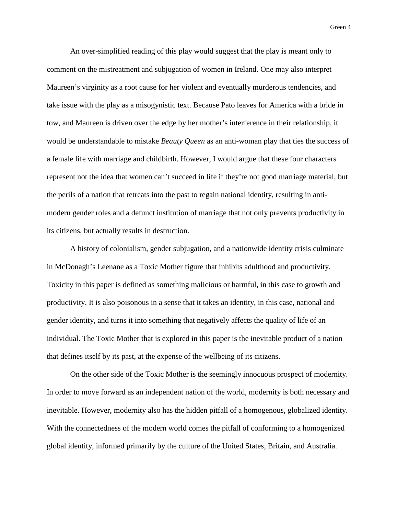An over-simplified reading of this play would suggest that the play is meant only to comment on the mistreatment and subjugation of women in Ireland. One may also interpret Maureen's virginity as a root cause for her violent and eventually murderous tendencies, and take issue with the play as a misogynistic text. Because Pato leaves for America with a bride in tow, and Maureen is driven over the edge by her mother's interference in their relationship, it would be understandable to mistake *Beauty Queen* as an anti-woman play that ties the success of a female life with marriage and childbirth. However, I would argue that these four characters represent not the idea that women can't succeed in life if they're not good marriage material, but the perils of a nation that retreats into the past to regain national identity, resulting in antimodern gender roles and a defunct institution of marriage that not only prevents productivity in its citizens, but actually results in destruction.

A history of colonialism, gender subjugation, and a nationwide identity crisis culminate in McDonagh's Leenane as a Toxic Mother figure that inhibits adulthood and productivity. Toxicity in this paper is defined as something malicious or harmful, in this case to growth and productivity. It is also poisonous in a sense that it takes an identity, in this case, national and gender identity, and turns it into something that negatively affects the quality of life of an individual. The Toxic Mother that is explored in this paper is the inevitable product of a nation that defines itself by its past, at the expense of the wellbeing of its citizens.

On the other side of the Toxic Mother is the seemingly innocuous prospect of modernity. In order to move forward as an independent nation of the world, modernity is both necessary and inevitable. However, modernity also has the hidden pitfall of a homogenous, globalized identity. With the connectedness of the modern world comes the pitfall of conforming to a homogenized global identity, informed primarily by the culture of the United States, Britain, and Australia.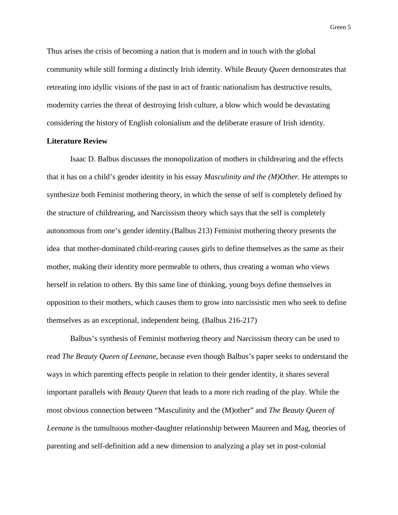Thus arises the crisis of becoming a nation that is modern and in touch with the global community while still forming a distinctly Irish identity. While *Beauty Queen* demonstrates that retreating into idyllic visions of the past in act of frantic nationalism has destructive results, modernity carries the threat of destroying Irish culture, a blow which would be devastating considering the history of English colonialism and the deliberate erasure of Irish identity.

### **Literature Review**

Isaac D. Balbus discusses the monopolization of mothers in childrearing and the effects that it has on a child's gender identity in his essay *Masculinity and the (M)Other.* He attempts to synthesize both Feminist mothering theory, in which the sense of self is completely defined by the structure of childrearing, and Narcissism theory which says that the self is completely autonomous from one's gender identity.(Balbus 213) Feminist mothering theory presents the idea that mother-dominated child-rearing causes girls to define themselves as the same as their mother, making their identity more permeable to others, thus creating a woman who views herself in relation to others. By this same line of thinking, young boys define themselves in opposition to their mothers, which causes them to grow into narcissistic men who seek to define themselves as an exceptional, independent being. (Balbus 216-217)

Balbus's synthesis of Feminist mothering theory and Narcissism theory can be used to read *The Beauty Queen of Leenane,* because even though Balbus's paper seeks to understand the ways in which parenting effects people in relation to their gender identity, it shares several important parallels with *Beauty Queen* that leads to a more rich reading of the play. While the most obvious connection between "Masculinity and the (M)other" and *The Beauty Queen of Leenane* is the tumultuous mother-daughter relationship between Maureen and Mag, theories of parenting and self-definition add a new dimension to analyzing a play set in post-colonial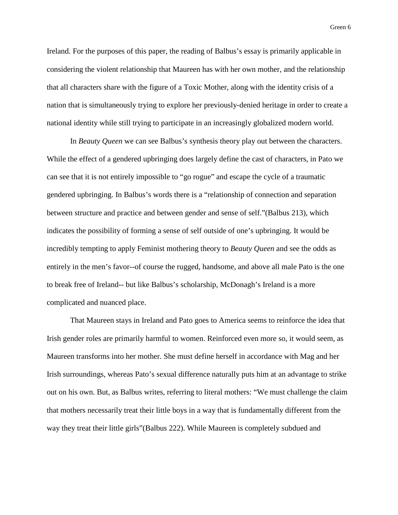Ireland. For the purposes of this paper, the reading of Balbus's essay is primarily applicable in considering the violent relationship that Maureen has with her own mother, and the relationship that all characters share with the figure of a Toxic Mother, along with the identity crisis of a nation that is simultaneously trying to explore her previously-denied heritage in order to create a national identity while still trying to participate in an increasingly globalized modern world.

In *Beauty Queen* we can see Balbus's synthesis theory play out between the characters. While the effect of a gendered upbringing does largely define the cast of characters, in Pato we can see that it is not entirely impossible to "go rogue" and escape the cycle of a traumatic gendered upbringing. In Balbus's words there is a "relationship of connection and separation between structure and practice and between gender and sense of self."(Balbus 213), which indicates the possibility of forming a sense of self outside of one's upbringing. It would be incredibly tempting to apply Feminist mothering theory to *Beauty Queen* and see the odds as entirely in the men's favor--of course the rugged, handsome, and above all male Pato is the one to break free of Ireland-- but like Balbus's scholarship, McDonagh's Ireland is a more complicated and nuanced place.

That Maureen stays in Ireland and Pato goes to America seems to reinforce the idea that Irish gender roles are primarily harmful to women. Reinforced even more so, it would seem, as Maureen transforms into her mother. She must define herself in accordance with Mag and her Irish surroundings, whereas Pato's sexual difference naturally puts him at an advantage to strike out on his own. But, as Balbus writes, referring to literal mothers: "We must challenge the claim that mothers necessarily treat their little boys in a way that is fundamentally different from the way they treat their little girls"(Balbus 222). While Maureen is completely subdued and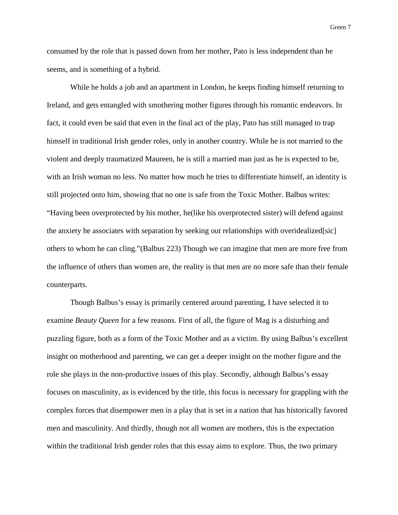consumed by the role that is passed down from her mother, Pato is less independent than he seems, and is something of a hybrid.

While he holds a job and an apartment in London, he keeps finding himself returning to Ireland, and gets entangled with smothering mother figures through his romantic endeavors. In fact, it could even be said that even in the final act of the play, Pato has still managed to trap himself in traditional Irish gender roles, only in another country. While he is not married to the violent and deeply traumatized Maureen, he is still a married man just as he is expected to be, with an Irish woman no less. No matter how much he tries to differentiate himself, an identity is still projected onto him, showing that no one is safe from the Toxic Mother. Balbus writes: "Having been overprotected by his mother, he(like his overprotected sister) will defend against the anxiety he associates with separation by seeking out relationships with overidealized[sic] others to whom he can cling."(Balbus 223) Though we can imagine that men are more free from the influence of others than women are, the reality is that men are no more safe than their female counterparts.

Though Balbus's essay is primarily centered around parenting, I have selected it to examine *Beauty Queen* for a few reasons. First of all, the figure of Mag is a disturbing and puzzling figure, both as a form of the Toxic Mother and as a victim. By using Balbus's excellent insight on motherhood and parenting, we can get a deeper insight on the mother figure and the role she plays in the non-productive issues of this play. Secondly, although Balbus's essay focuses on masculinity, as is evidenced by the title, this focus is necessary for grappling with the complex forces that disempower men in a play that is set in a nation that has historically favored men and masculinity. And thirdly, though not all women are mothers, this is the expectation within the traditional Irish gender roles that this essay aims to explore. Thus, the two primary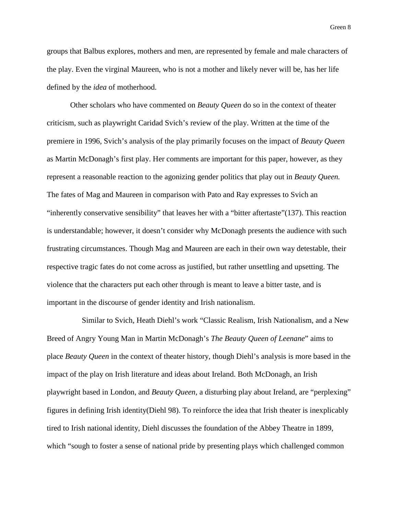groups that Balbus explores, mothers and men, are represented by female and male characters of the play. Even the virginal Maureen, who is not a mother and likely never will be, has her life defined by the *idea* of motherhood.

Other scholars who have commented on *Beauty Queen* do so in the context of theater criticism, such as playwright Caridad Svich's review of the play. Written at the time of the premiere in 1996, Svich's analysis of the play primarily focuses on the impact of *Beauty Queen*  as Martin McDonagh's first play. Her comments are important for this paper, however, as they represent a reasonable reaction to the agonizing gender politics that play out in *Beauty Queen.*  The fates of Mag and Maureen in comparison with Pato and Ray expresses to Svich an "inherently conservative sensibility" that leaves her with a "bitter aftertaste"(137). This reaction is understandable; however, it doesn't consider why McDonagh presents the audience with such frustrating circumstances. Though Mag and Maureen are each in their own way detestable, their respective tragic fates do not come across as justified, but rather unsettling and upsetting. The violence that the characters put each other through is meant to leave a bitter taste, and is important in the discourse of gender identity and Irish nationalism.

Similar to Svich, Heath Diehl's work "Classic Realism, Irish Nationalism, and a New Breed of Angry Young Man in Martin McDonagh's *The Beauty Queen of Leenane*" aims to place *Beauty Queen* in the context of theater history, though Diehl's analysis is more based in the impact of the play on Irish literature and ideas about Ireland. Both McDonagh, an Irish playwright based in London, and *Beauty Queen,* a disturbing play about Ireland, are "perplexing" figures in defining Irish identity(Diehl 98). To reinforce the idea that Irish theater is inexplicably tired to Irish national identity, Diehl discusses the foundation of the Abbey Theatre in 1899, which "sough to foster a sense of national pride by presenting plays which challenged common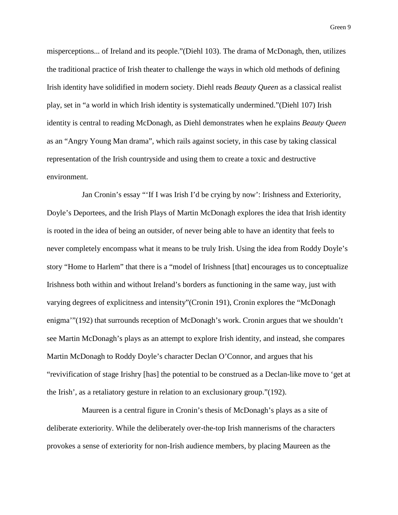misperceptions... of Ireland and its people."(Diehl 103). The drama of McDonagh, then, utilizes the traditional practice of Irish theater to challenge the ways in which old methods of defining Irish identity have solidified in modern society. Diehl reads *Beauty Queen* as a classical realist play, set in "a world in which Irish identity is systematically undermined."(Diehl 107) Irish identity is central to reading McDonagh, as Diehl demonstrates when he explains *Beauty Queen*  as an "Angry Young Man drama", which rails against society, in this case by taking classical representation of the Irish countryside and using them to create a toxic and destructive environment.

Jan Cronin's essay "'If I was Irish I'd be crying by now': Irishness and Exteriority, Doyle's Deportees, and the Irish Plays of Martin McDonagh explores the idea that Irish identity is rooted in the idea of being an outsider, of never being able to have an identity that feels to never completely encompass what it means to be truly Irish. Using the idea from Roddy Doyle's story "Home to Harlem" that there is a "model of Irishness [that] encourages us to conceptualize Irishness both within and without Ireland's borders as functioning in the same way, just with varying degrees of explicitness and intensity"(Cronin 191), Cronin explores the "McDonagh enigma'"(192) that surrounds reception of McDonagh's work. Cronin argues that we shouldn't see Martin McDonagh's plays as an attempt to explore Irish identity, and instead, she compares Martin McDonagh to Roddy Doyle's character Declan O'Connor, and argues that his "revivification of stage Irishry [has] the potential to be construed as a Declan-like move to 'get at the Irish', as a retaliatory gesture in relation to an exclusionary group."(192).

Maureen is a central figure in Cronin's thesis of McDonagh's plays as a site of deliberate exteriority. While the deliberately over-the-top Irish mannerisms of the characters provokes a sense of exteriority for non-Irish audience members, by placing Maureen as the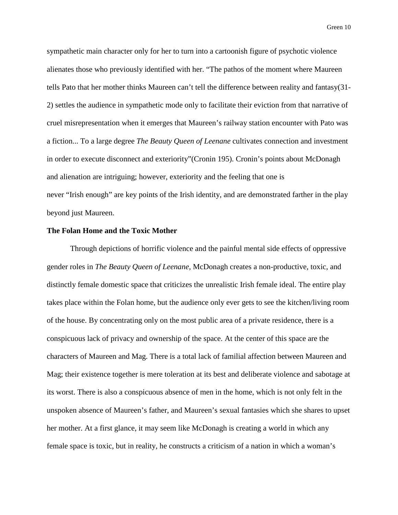sympathetic main character only for her to turn into a cartoonish figure of psychotic violence alienates those who previously identified with her. "The pathos of the moment where Maureen tells Pato that her mother thinks Maureen can't tell the difference between reality and fantasy(31- 2) settles the audience in sympathetic mode only to facilitate their eviction from that narrative of cruel misrepresentation when it emerges that Maureen's railway station encounter with Pato was a fiction... To a large degree *The Beauty Queen of Leenane* cultivates connection and investment in order to execute disconnect and exteriority"(Cronin 195). Cronin's points about McDonagh and alienation are intriguing; however, exteriority and the feeling that one is never "Irish enough" are key points of the Irish identity, and are demonstrated farther in the play beyond just Maureen.

### **The Folan Home and the Toxic Mother**

Through depictions of horrific violence and the painful mental side effects of oppressive gender roles in *The Beauty Queen of Leenane,* McDonagh creates a non-productive, toxic, and distinctly female domestic space that criticizes the unrealistic Irish female ideal. The entire play takes place within the Folan home, but the audience only ever gets to see the kitchen/living room of the house. By concentrating only on the most public area of a private residence, there is a conspicuous lack of privacy and ownership of the space. At the center of this space are the characters of Maureen and Mag. There is a total lack of familial affection between Maureen and Mag; their existence together is mere toleration at its best and deliberate violence and sabotage at its worst. There is also a conspicuous absence of men in the home, which is not only felt in the unspoken absence of Maureen's father, and Maureen's sexual fantasies which she shares to upset her mother. At a first glance, it may seem like McDonagh is creating a world in which any female space is toxic, but in reality, he constructs a criticism of a nation in which a woman's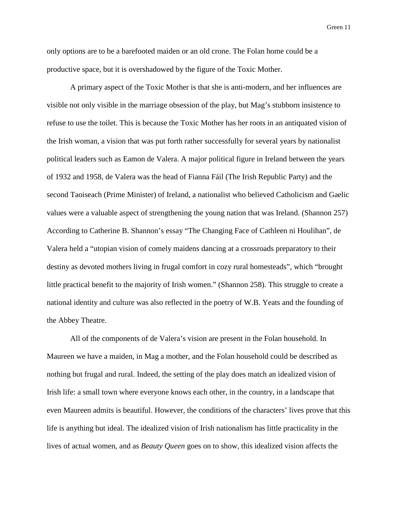only options are to be a barefooted maiden or an old crone. The Folan home could be a productive space, but it is overshadowed by the figure of the Toxic Mother.

A primary aspect of the Toxic Mother is that she is anti-modern, and her influences are visible not only visible in the marriage obsession of the play, but Mag's stubborn insistence to refuse to use the toilet. This is because the Toxic Mother has her roots in an antiquated vision of the Irish woman, a vision that was put forth rather successfully for several years by nationalist political leaders such as Eamon de Valera. A major political figure in Ireland between the years of 1932 and 1958, de Valera was the head of Fianna Fáil (The Irish Republic Party) and the second Taoiseach (Prime Minister) of Ireland, a nationalist who believed Catholicism and Gaelic values were a valuable aspect of strengthening the young nation that was Ireland. (Shannon 257) According to Catherine B. Shannon's essay "The Changing Face of Cathleen ni Houlihan", de Valera held a "utopian vision of comely maidens dancing at a crossroads preparatory to their destiny as devoted mothers living in frugal comfort in cozy rural homesteads", which "brought little practical benefit to the majority of Irish women." (Shannon 258). This struggle to create a national identity and culture was also reflected in the poetry of W.B. Yeats and the founding of the Abbey Theatre.

All of the components of de Valera's vision are present in the Folan household. In Maureen we have a maiden, in Mag a mother, and the Folan household could be described as nothing but frugal and rural. Indeed, the setting of the play does match an idealized vision of Irish life: a small town where everyone knows each other, in the country, in a landscape that even Maureen admits is beautiful. However, the conditions of the characters' lives prove that this life is anything but ideal. The idealized vision of Irish nationalism has little practicality in the lives of actual women, and as *Beauty Queen* goes on to show, this idealized vision affects the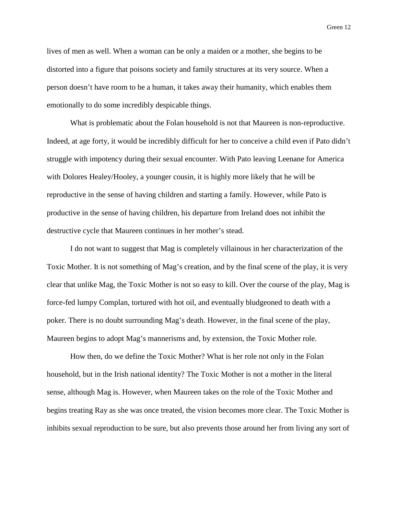lives of men as well. When a woman can be only a maiden or a mother, she begins to be distorted into a figure that poisons society and family structures at its very source. When a person doesn't have room to be a human, it takes away their humanity, which enables them emotionally to do some incredibly despicable things.

What is problematic about the Folan household is not that Maureen is non-reproductive. Indeed, at age forty, it would be incredibly difficult for her to conceive a child even if Pato didn't struggle with impotency during their sexual encounter. With Pato leaving Leenane for America with Dolores Healey/Hooley, a younger cousin, it is highly more likely that he will be reproductive in the sense of having children and starting a family. However, while Pato is productive in the sense of having children, his departure from Ireland does not inhibit the destructive cycle that Maureen continues in her mother's stead.

I do not want to suggest that Mag is completely villainous in her characterization of the Toxic Mother. It is not something of Mag's creation, and by the final scene of the play, it is very clear that unlike Mag, the Toxic Mother is not so easy to kill. Over the course of the play, Mag is force-fed lumpy Complan, tortured with hot oil, and eventually bludgeoned to death with a poker. There is no doubt surrounding Mag's death. However, in the final scene of the play, Maureen begins to adopt Mag's mannerisms and, by extension, the Toxic Mother role.

How then, do we define the Toxic Mother? What is her role not only in the Folan household, but in the Irish national identity? The Toxic Mother is not a mother in the literal sense, although Mag is. However, when Maureen takes on the role of the Toxic Mother and begins treating Ray as she was once treated, the vision becomes more clear. The Toxic Mother is inhibits sexual reproduction to be sure, but also prevents those around her from living any sort of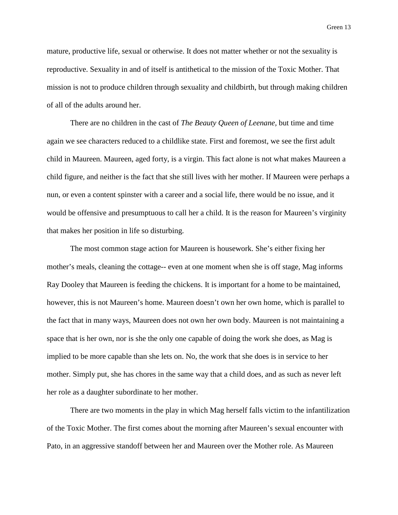mature, productive life, sexual or otherwise. It does not matter whether or not the sexuality is reproductive. Sexuality in and of itself is antithetical to the mission of the Toxic Mother. That mission is not to produce children through sexuality and childbirth, but through making children of all of the adults around her.

There are no children in the cast of *The Beauty Queen of Leenane,* but time and time again we see characters reduced to a childlike state. First and foremost, we see the first adult child in Maureen. Maureen, aged forty, is a virgin. This fact alone is not what makes Maureen a child figure, and neither is the fact that she still lives with her mother. If Maureen were perhaps a nun, or even a content spinster with a career and a social life, there would be no issue, and it would be offensive and presumptuous to call her a child. It is the reason for Maureen's virginity that makes her position in life so disturbing.

The most common stage action for Maureen is housework. She's either fixing her mother's meals, cleaning the cottage-- even at one moment when she is off stage, Mag informs Ray Dooley that Maureen is feeding the chickens. It is important for a home to be maintained, however, this is not Maureen's home. Maureen doesn't own her own home, which is parallel to the fact that in many ways, Maureen does not own her own body. Maureen is not maintaining a space that is her own, nor is she the only one capable of doing the work she does, as Mag is implied to be more capable than she lets on. No, the work that she does is in service to her mother. Simply put, she has chores in the same way that a child does, and as such as never left her role as a daughter subordinate to her mother.

There are two moments in the play in which Mag herself falls victim to the infantilization of the Toxic Mother. The first comes about the morning after Maureen's sexual encounter with Pato, in an aggressive standoff between her and Maureen over the Mother role. As Maureen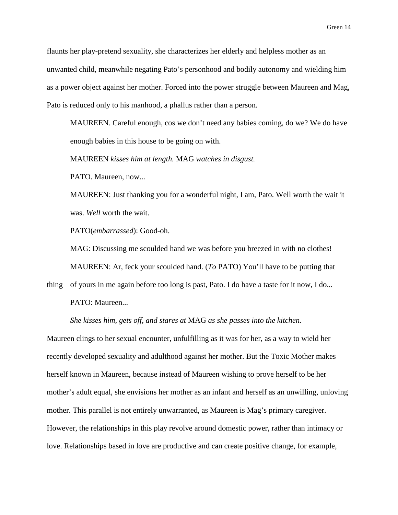flaunts her play-pretend sexuality, she characterizes her elderly and helpless mother as an unwanted child, meanwhile negating Pato's personhood and bodily autonomy and wielding him as a power object against her mother. Forced into the power struggle between Maureen and Mag, Pato is reduced only to his manhood, a phallus rather than a person.

MAUREEN. Careful enough, cos we don't need any babies coming, do we? We do have enough babies in this house to be going on with.

MAUREEN *kisses him at length.* MAG *watches in disgust.*

PATO. Maureen, now...

MAUREEN: Just thanking you for a wonderful night, I am, Pato. Well worth the wait it was. *Well* worth the wait.

PATO(*embarrassed*): Good-oh.

MAG: Discussing me scoulded hand we was before you breezed in with no clothes! MAUREEN: Ar, feck your scoulded hand. (*To* PATO) You'll have to be putting that

thing of yours in me again before too long is past, Pato. I do have a taste for it now, I do... PATO: Maureen...

*She kisses him, gets off, and stares at* MAG *as she passes into the kitchen.*

Maureen clings to her sexual encounter, unfulfilling as it was for her, as a way to wield her recently developed sexuality and adulthood against her mother. But the Toxic Mother makes herself known in Maureen, because instead of Maureen wishing to prove herself to be her mother's adult equal, she envisions her mother as an infant and herself as an unwilling, unloving mother. This parallel is not entirely unwarranted, as Maureen is Mag's primary caregiver. However, the relationships in this play revolve around domestic power, rather than intimacy or love. Relationships based in love are productive and can create positive change, for example,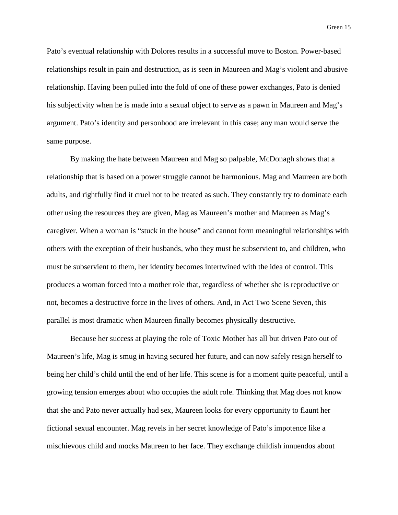Pato's eventual relationship with Dolores results in a successful move to Boston. Power-based relationships result in pain and destruction, as is seen in Maureen and Mag's violent and abusive relationship. Having been pulled into the fold of one of these power exchanges, Pato is denied his subjectivity when he is made into a sexual object to serve as a pawn in Maureen and Mag's argument. Pato's identity and personhood are irrelevant in this case; any man would serve the same purpose.

By making the hate between Maureen and Mag so palpable, McDonagh shows that a relationship that is based on a power struggle cannot be harmonious. Mag and Maureen are both adults, and rightfully find it cruel not to be treated as such. They constantly try to dominate each other using the resources they are given, Mag as Maureen's mother and Maureen as Mag's caregiver. When a woman is "stuck in the house" and cannot form meaningful relationships with others with the exception of their husbands, who they must be subservient to, and children, who must be subservient to them, her identity becomes intertwined with the idea of control. This produces a woman forced into a mother role that, regardless of whether she is reproductive or not, becomes a destructive force in the lives of others. And, in Act Two Scene Seven, this parallel is most dramatic when Maureen finally becomes physically destructive.

Because her success at playing the role of Toxic Mother has all but driven Pato out of Maureen's life, Mag is smug in having secured her future, and can now safely resign herself to being her child's child until the end of her life. This scene is for a moment quite peaceful, until a growing tension emerges about who occupies the adult role. Thinking that Mag does not know that she and Pato never actually had sex, Maureen looks for every opportunity to flaunt her fictional sexual encounter. Mag revels in her secret knowledge of Pato's impotence like a mischievous child and mocks Maureen to her face. They exchange childish innuendos about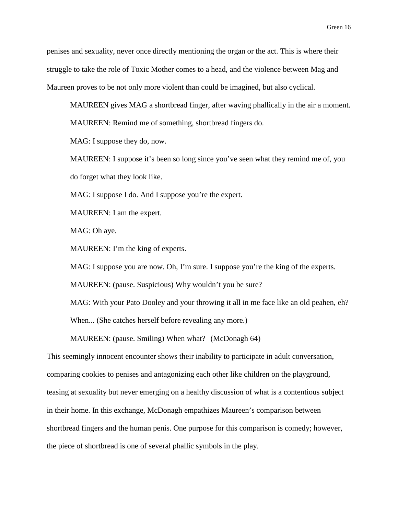penises and sexuality, never once directly mentioning the organ or the act. This is where their struggle to take the role of Toxic Mother comes to a head, and the violence between Mag and Maureen proves to be not only more violent than could be imagined, but also cyclical.

MAUREEN gives MAG a shortbread finger, after waving phallically in the air a moment. MAUREEN: Remind me of something, shortbread fingers do.

MAG: I suppose they do, now.

MAUREEN: I suppose it's been so long since you've seen what they remind me of, you do forget what they look like.

MAG: I suppose I do. And I suppose you're the expert.

MAUREEN: I am the expert.

MAG: Oh aye.

MAUREEN: I'm the king of experts.

MAG: I suppose you are now. Oh, I'm sure. I suppose you're the king of the experts.

MAUREEN: (pause. Suspicious) Why wouldn't you be sure?

MAG: With your Pato Dooley and your throwing it all in me face like an old peahen, eh?

When... (She catches herself before revealing any more.)

MAUREEN: (pause. Smiling) When what? (McDonagh 64)

This seemingly innocent encounter shows their inability to participate in adult conversation, comparing cookies to penises and antagonizing each other like children on the playground, teasing at sexuality but never emerging on a healthy discussion of what is a contentious subject in their home. In this exchange, McDonagh empathizes Maureen's comparison between shortbread fingers and the human penis. One purpose for this comparison is comedy; however, the piece of shortbread is one of several phallic symbols in the play.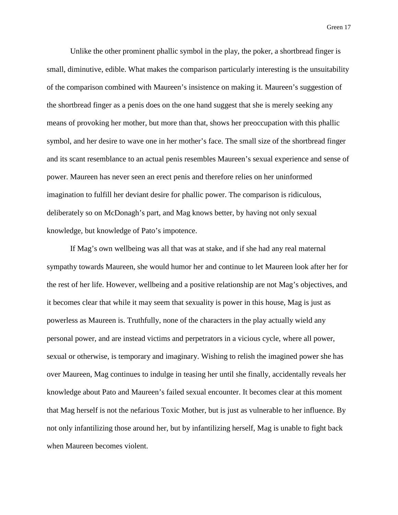Unlike the other prominent phallic symbol in the play, the poker, a shortbread finger is small, diminutive, edible. What makes the comparison particularly interesting is the unsuitability of the comparison combined with Maureen's insistence on making it. Maureen's suggestion of the shortbread finger as a penis does on the one hand suggest that she is merely seeking any means of provoking her mother, but more than that, shows her preoccupation with this phallic symbol, and her desire to wave one in her mother's face. The small size of the shortbread finger and its scant resemblance to an actual penis resembles Maureen's sexual experience and sense of power. Maureen has never seen an erect penis and therefore relies on her uninformed imagination to fulfill her deviant desire for phallic power. The comparison is ridiculous, deliberately so on McDonagh's part, and Mag knows better, by having not only sexual knowledge, but knowledge of Pato's impotence.

If Mag's own wellbeing was all that was at stake, and if she had any real maternal sympathy towards Maureen, she would humor her and continue to let Maureen look after her for the rest of her life. However, wellbeing and a positive relationship are not Mag's objectives, and it becomes clear that while it may seem that sexuality is power in this house, Mag is just as powerless as Maureen is. Truthfully, none of the characters in the play actually wield any personal power, and are instead victims and perpetrators in a vicious cycle, where all power, sexual or otherwise, is temporary and imaginary. Wishing to relish the imagined power she has over Maureen, Mag continues to indulge in teasing her until she finally, accidentally reveals her knowledge about Pato and Maureen's failed sexual encounter. It becomes clear at this moment that Mag herself is not the nefarious Toxic Mother, but is just as vulnerable to her influence. By not only infantilizing those around her, but by infantilizing herself, Mag is unable to fight back when Maureen becomes violent.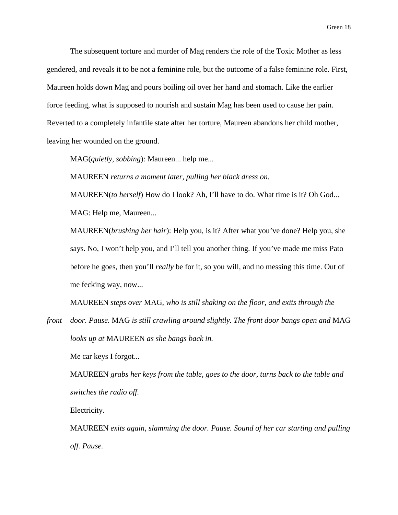The subsequent torture and murder of Mag renders the role of the Toxic Mother as less gendered, and reveals it to be not a feminine role, but the outcome of a false feminine role. First, Maureen holds down Mag and pours boiling oil over her hand and stomach. Like the earlier force feeding, what is supposed to nourish and sustain Mag has been used to cause her pain. Reverted to a completely infantile state after her torture, Maureen abandons her child mother, leaving her wounded on the ground.

MAG(*quietly, sobbing*): Maureen... help me...

MAUREEN *returns a moment later, pulling her black dress on.*

MAUREEN(*to herself*) How do I look? Ah, I'll have to do. What time is it? Oh God... MAG: Help me, Maureen...

MAUREEN(*brushing her hair*): Help you, is it? After what you've done? Help you, she says. No, I won't help you, and I'll tell you another thing. If you've made me miss Pato before he goes, then you'll *really* be for it, so you will, and no messing this time. Out of me fecking way, now...

MAUREEN *steps over* MAG, *who is still shaking on the floor, and exits through the* 

*front door. Pause.* MAG *is still crawling around slightly. The front door bangs open and* MAG *looks up at* MAUREEN *as she bangs back in.*

Me car keys I forgot...

MAUREEN *grabs her keys from the table, goes to the door, turns back to the table and switches the radio off.*

Electricity.

MAUREEN *exits again, slamming the door. Pause. Sound of her car starting and pulling off. Pause.*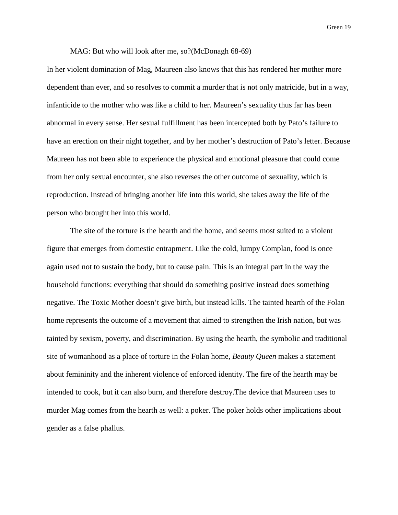MAG: But who will look after me, so?(McDonagh 68-69)

In her violent domination of Mag, Maureen also knows that this has rendered her mother more dependent than ever, and so resolves to commit a murder that is not only matricide, but in a way, infanticide to the mother who was like a child to her. Maureen's sexuality thus far has been abnormal in every sense. Her sexual fulfillment has been intercepted both by Pato's failure to have an erection on their night together, and by her mother's destruction of Pato's letter. Because Maureen has not been able to experience the physical and emotional pleasure that could come from her only sexual encounter, she also reverses the other outcome of sexuality, which is reproduction. Instead of bringing another life into this world, she takes away the life of the person who brought her into this world.

The site of the torture is the hearth and the home, and seems most suited to a violent figure that emerges from domestic entrapment. Like the cold, lumpy Complan, food is once again used not to sustain the body, but to cause pain. This is an integral part in the way the household functions: everything that should do something positive instead does something negative. The Toxic Mother doesn't give birth, but instead kills. The tainted hearth of the Folan home represents the outcome of a movement that aimed to strengthen the Irish nation, but was tainted by sexism, poverty, and discrimination. By using the hearth, the symbolic and traditional site of womanhood as a place of torture in the Folan home, *Beauty Queen* makes a statement about femininity and the inherent violence of enforced identity. The fire of the hearth may be intended to cook, but it can also burn, and therefore destroy.The device that Maureen uses to murder Mag comes from the hearth as well: a poker. The poker holds other implications about gender as a false phallus.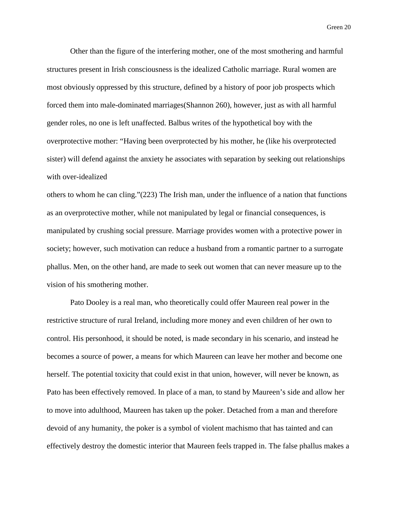Other than the figure of the interfering mother, one of the most smothering and harmful structures present in Irish consciousness is the idealized Catholic marriage. Rural women are most obviously oppressed by this structure, defined by a history of poor job prospects which forced them into male-dominated marriages(Shannon 260), however, just as with all harmful gender roles, no one is left unaffected. Balbus writes of the hypothetical boy with the overprotective mother: "Having been overprotected by his mother, he (like his overprotected sister) will defend against the anxiety he associates with separation by seeking out relationships with over-idealized

others to whom he can cling."(223) The Irish man, under the influence of a nation that functions as an overprotective mother, while not manipulated by legal or financial consequences, is manipulated by crushing social pressure. Marriage provides women with a protective power in society; however, such motivation can reduce a husband from a romantic partner to a surrogate phallus. Men, on the other hand, are made to seek out women that can never measure up to the vision of his smothering mother.

Pato Dooley is a real man, who theoretically could offer Maureen real power in the restrictive structure of rural Ireland, including more money and even children of her own to control. His personhood, it should be noted, is made secondary in his scenario, and instead he becomes a source of power, a means for which Maureen can leave her mother and become one herself. The potential toxicity that could exist in that union, however, will never be known, as Pato has been effectively removed. In place of a man, to stand by Maureen's side and allow her to move into adulthood, Maureen has taken up the poker. Detached from a man and therefore devoid of any humanity, the poker is a symbol of violent machismo that has tainted and can effectively destroy the domestic interior that Maureen feels trapped in. The false phallus makes a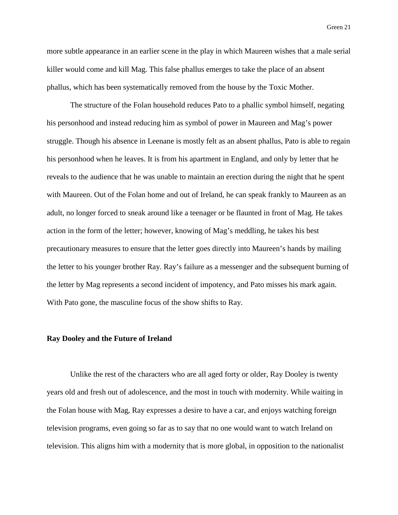more subtle appearance in an earlier scene in the play in which Maureen wishes that a male serial killer would come and kill Mag. This false phallus emerges to take the place of an absent phallus, which has been systematically removed from the house by the Toxic Mother.

The structure of the Folan household reduces Pato to a phallic symbol himself, negating his personhood and instead reducing him as symbol of power in Maureen and Mag's power struggle. Though his absence in Leenane is mostly felt as an absent phallus, Pato is able to regain his personhood when he leaves. It is from his apartment in England, and only by letter that he reveals to the audience that he was unable to maintain an erection during the night that he spent with Maureen. Out of the Folan home and out of Ireland, he can speak frankly to Maureen as an adult, no longer forced to sneak around like a teenager or be flaunted in front of Mag. He takes action in the form of the letter; however, knowing of Mag's meddling, he takes his best precautionary measures to ensure that the letter goes directly into Maureen's hands by mailing the letter to his younger brother Ray. Ray's failure as a messenger and the subsequent burning of the letter by Mag represents a second incident of impotency, and Pato misses his mark again. With Pato gone, the masculine focus of the show shifts to Ray.

#### **Ray Dooley and the Future of Ireland**

Unlike the rest of the characters who are all aged forty or older, Ray Dooley is twenty years old and fresh out of adolescence, and the most in touch with modernity. While waiting in the Folan house with Mag, Ray expresses a desire to have a car, and enjoys watching foreign television programs, even going so far as to say that no one would want to watch Ireland on television. This aligns him with a modernity that is more global, in opposition to the nationalist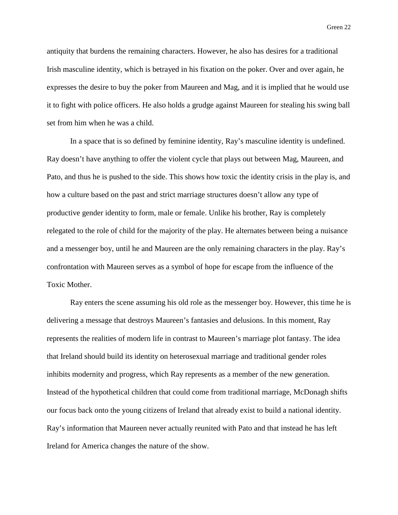antiquity that burdens the remaining characters. However, he also has desires for a traditional Irish masculine identity, which is betrayed in his fixation on the poker. Over and over again, he expresses the desire to buy the poker from Maureen and Mag, and it is implied that he would use it to fight with police officers. He also holds a grudge against Maureen for stealing his swing ball set from him when he was a child.

In a space that is so defined by feminine identity, Ray's masculine identity is undefined. Ray doesn't have anything to offer the violent cycle that plays out between Mag, Maureen, and Pato, and thus he is pushed to the side. This shows how toxic the identity crisis in the play is, and how a culture based on the past and strict marriage structures doesn't allow any type of productive gender identity to form, male or female. Unlike his brother, Ray is completely relegated to the role of child for the majority of the play. He alternates between being a nuisance and a messenger boy, until he and Maureen are the only remaining characters in the play. Ray's confrontation with Maureen serves as a symbol of hope for escape from the influence of the Toxic Mother.

Ray enters the scene assuming his old role as the messenger boy. However, this time he is delivering a message that destroys Maureen's fantasies and delusions. In this moment, Ray represents the realities of modern life in contrast to Maureen's marriage plot fantasy. The idea that Ireland should build its identity on heterosexual marriage and traditional gender roles inhibits modernity and progress, which Ray represents as a member of the new generation. Instead of the hypothetical children that could come from traditional marriage, McDonagh shifts our focus back onto the young citizens of Ireland that already exist to build a national identity. Ray's information that Maureen never actually reunited with Pato and that instead he has left Ireland for America changes the nature of the show.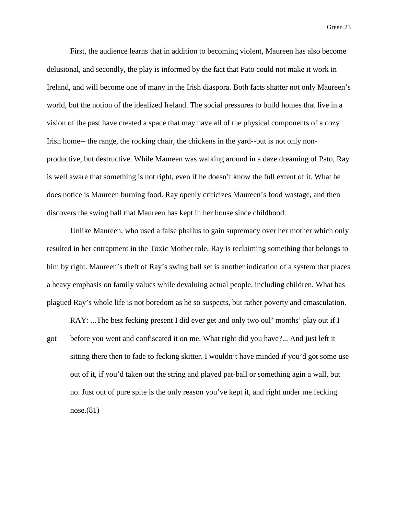First, the audience learns that in addition to becoming violent, Maureen has also become delusional, and secondly, the play is informed by the fact that Pato could not make it work in Ireland, and will become one of many in the Irish diaspora. Both facts shatter not only Maureen's world, but the notion of the idealized Ireland. The social pressures to build homes that live in a vision of the past have created a space that may have all of the physical components of a cozy Irish home-- the range, the rocking chair, the chickens in the yard--but is not only nonproductive, but destructive. While Maureen was walking around in a daze dreaming of Pato, Ray is well aware that something is not right, even if he doesn't know the full extent of it. What he does notice is Maureen burning food. Ray openly criticizes Maureen's food wastage, and then discovers the swing ball that Maureen has kept in her house since childhood.

Unlike Maureen, who used a false phallus to gain supremacy over her mother which only resulted in her entrapment in the Toxic Mother role, Ray is reclaiming something that belongs to him by right. Maureen's theft of Ray's swing ball set is another indication of a system that places a heavy emphasis on family values while devaluing actual people, including children. What has plagued Ray's whole life is not boredom as he so suspects, but rather poverty and emasculation.

RAY: ...The best fecking present I did ever get and only two oul' months' play out if I got before you went and confiscated it on me. What right did you have?... And just left it sitting there then to fade to fecking skitter. I wouldn't have minded if you'd got some use out of it, if you'd taken out the string and played pat-ball or something agin a wall, but no. Just out of pure spite is the only reason you've kept it, and right under me fecking nose.(81)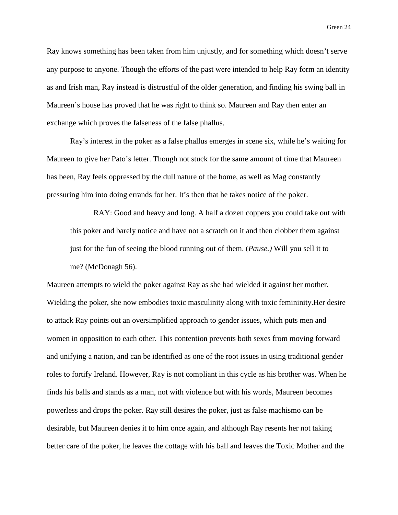Ray knows something has been taken from him unjustly, and for something which doesn't serve any purpose to anyone. Though the efforts of the past were intended to help Ray form an identity as and Irish man, Ray instead is distrustful of the older generation, and finding his swing ball in Maureen's house has proved that he was right to think so. Maureen and Ray then enter an exchange which proves the falseness of the false phallus.

Ray's interest in the poker as a false phallus emerges in scene six, while he's waiting for Maureen to give her Pato's letter. Though not stuck for the same amount of time that Maureen has been, Ray feels oppressed by the dull nature of the home, as well as Mag constantly pressuring him into doing errands for her. It's then that he takes notice of the poker.

RAY: Good and heavy and long. A half a dozen coppers you could take out with this poker and barely notice and have not a scratch on it and then clobber them against just for the fun of seeing the blood running out of them. (*Pause.)* Will you sell it to me? (McDonagh 56).

Maureen attempts to wield the poker against Ray as she had wielded it against her mother. Wielding the poker, she now embodies toxic masculinity along with toxic femininity.Her desire to attack Ray points out an oversimplified approach to gender issues, which puts men and women in opposition to each other. This contention prevents both sexes from moving forward and unifying a nation, and can be identified as one of the root issues in using traditional gender roles to fortify Ireland. However, Ray is not compliant in this cycle as his brother was. When he finds his balls and stands as a man, not with violence but with his words, Maureen becomes powerless and drops the poker. Ray still desires the poker, just as false machismo can be desirable, but Maureen denies it to him once again, and although Ray resents her not taking better care of the poker, he leaves the cottage with his ball and leaves the Toxic Mother and the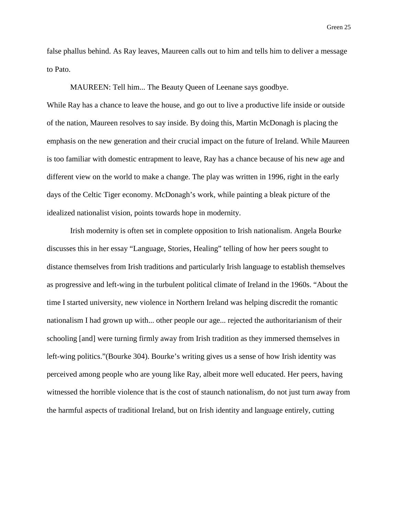false phallus behind. As Ray leaves, Maureen calls out to him and tells him to deliver a message to Pato.

MAUREEN: Tell him... The Beauty Queen of Leenane says goodbye.

While Ray has a chance to leave the house, and go out to live a productive life inside or outside of the nation, Maureen resolves to say inside. By doing this, Martin McDonagh is placing the emphasis on the new generation and their crucial impact on the future of Ireland. While Maureen is too familiar with domestic entrapment to leave, Ray has a chance because of his new age and different view on the world to make a change. The play was written in 1996, right in the early days of the Celtic Tiger economy. McDonagh's work, while painting a bleak picture of the idealized nationalist vision, points towards hope in modernity.

Irish modernity is often set in complete opposition to Irish nationalism. Angela Bourke discusses this in her essay "Language, Stories, Healing" telling of how her peers sought to distance themselves from Irish traditions and particularly Irish language to establish themselves as progressive and left-wing in the turbulent political climate of Ireland in the 1960s. "About the time I started university, new violence in Northern Ireland was helping discredit the romantic nationalism I had grown up with... other people our age... rejected the authoritarianism of their schooling [and] were turning firmly away from Irish tradition as they immersed themselves in left-wing politics."(Bourke 304). Bourke's writing gives us a sense of how Irish identity was perceived among people who are young like Ray, albeit more well educated. Her peers, having witnessed the horrible violence that is the cost of staunch nationalism, do not just turn away from the harmful aspects of traditional Ireland, but on Irish identity and language entirely, cutting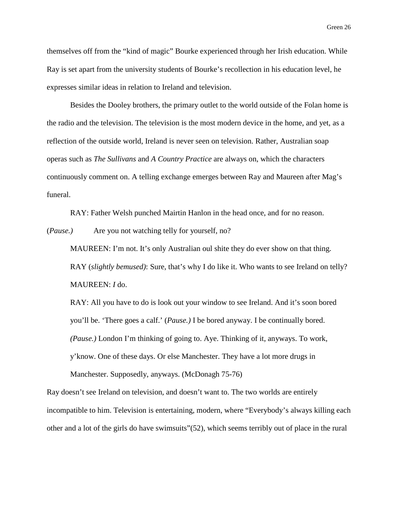themselves off from the "kind of magic" Bourke experienced through her Irish education. While Ray is set apart from the university students of Bourke's recollection in his education level, he expresses similar ideas in relation to Ireland and television.

Besides the Dooley brothers, the primary outlet to the world outside of the Folan home is the radio and the television. The television is the most modern device in the home, and yet, as a reflection of the outside world, Ireland is never seen on television. Rather, Australian soap operas such as *The Sullivans* and *A Country Practice* are always on, which the characters continuously comment on. A telling exchange emerges between Ray and Maureen after Mag's funeral.

RAY: Father Welsh punched Mairtin Hanlon in the head once, and for no reason.

(*Pause.)* Are you not watching telly for yourself, no?

MAUREEN: I'm not. It's only Australian oul shite they do ever show on that thing. RAY (*slightly bemused)*: Sure, that's why I do like it. Who wants to see Ireland on telly? MAUREEN: *I* do.

RAY: All you have to do is look out your window to see Ireland. And it's soon bored you'll be. 'There goes a calf.' (*Pause.)* I be bored anyway. I be continually bored. *(Pause.)* London I'm thinking of going to. Aye. Thinking of it, anyways. To work, y'know. One of these days. Or else Manchester. They have a lot more drugs in Manchester. Supposedly, anyways. (McDonagh 75-76)

Ray doesn't see Ireland on television, and doesn't want to. The two worlds are entirely incompatible to him. Television is entertaining, modern, where "Everybody's always killing each other and a lot of the girls do have swimsuits"(52), which seems terribly out of place in the rural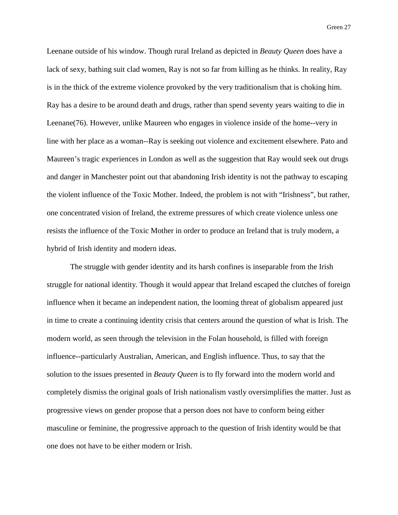Leenane outside of his window. Though rural Ireland as depicted in *Beauty Queen* does have a lack of sexy, bathing suit clad women, Ray is not so far from killing as he thinks. In reality, Ray is in the thick of the extreme violence provoked by the very traditionalism that is choking him. Ray has a desire to be around death and drugs, rather than spend seventy years waiting to die in Leenane(76). However, unlike Maureen who engages in violence inside of the home--very in line with her place as a woman--Ray is seeking out violence and excitement elsewhere. Pato and Maureen's tragic experiences in London as well as the suggestion that Ray would seek out drugs and danger in Manchester point out that abandoning Irish identity is not the pathway to escaping the violent influence of the Toxic Mother. Indeed, the problem is not with "Irishness", but rather, one concentrated vision of Ireland, the extreme pressures of which create violence unless one resists the influence of the Toxic Mother in order to produce an Ireland that is truly modern, a hybrid of Irish identity and modern ideas.

The struggle with gender identity and its harsh confines is inseparable from the Irish struggle for national identity. Though it would appear that Ireland escaped the clutches of foreign influence when it became an independent nation, the looming threat of globalism appeared just in time to create a continuing identity crisis that centers around the question of what is Irish. The modern world, as seen through the television in the Folan household, is filled with foreign influence--particularly Australian, American, and English influence. Thus, to say that the solution to the issues presented in *Beauty Queen* is to fly forward into the modern world and completely dismiss the original goals of Irish nationalism vastly oversimplifies the matter. Just as progressive views on gender propose that a person does not have to conform being either masculine or feminine, the progressive approach to the question of Irish identity would be that one does not have to be either modern or Irish.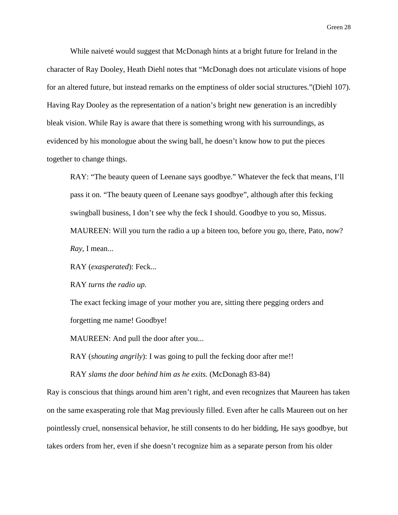While naiveté would suggest that McDonagh hints at a bright future for Ireland in the character of Ray Dooley, Heath Diehl notes that "McDonagh does not articulate visions of hope for an altered future, but instead remarks on the emptiness of older social structures."(Diehl 107). Having Ray Dooley as the representation of a nation's bright new generation is an incredibly bleak vision. While Ray is aware that there is something wrong with his surroundings, as evidenced by his monologue about the swing ball, he doesn't know how to put the pieces together to change things.

RAY: "The beauty queen of Leenane says goodbye." Whatever the feck that means, I'll pass it on. "The beauty queen of Leenane says goodbye", although after this fecking swingball business, I don't see why the feck I should. Goodbye to you so, Missus. MAUREEN: Will you turn the radio a up a biteen too, before you go, there, Pato, now? *Ray,* I mean...

RAY (*exasperated*): Feck...

RAY *turns the radio up.*

The exact fecking image of your mother you are, sitting there pegging orders and forgetting me name! Goodbye!

MAUREEN: And pull the door after you...

RAY (*shouting angrily*): I was going to pull the fecking door after me!!

RAY *slams the door behind him as he exits.* (McDonagh 83-84)

Ray is conscious that things around him aren't right, and even recognizes that Maureen has taken on the same exasperating role that Mag previously filled. Even after he calls Maureen out on her pointlessly cruel, nonsensical behavior, he still consents to do her bidding, He says goodbye, but takes orders from her, even if she doesn't recognize him as a separate person from his older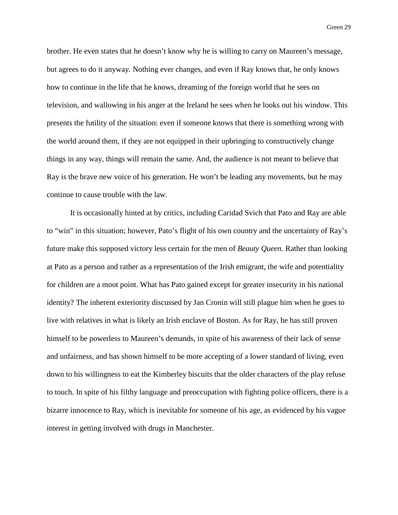brother. He even states that he doesn't know why he is willing to carry on Maureen's message, but agrees to do it anyway. Nothing ever changes, and even if Ray knows that, he only knows how to continue in the life that he knows, dreaming of the foreign world that he sees on television, and wallowing in his anger at the Ireland he sees when he looks out his window. This presents the futility of the situation: even if someone knows that there is something wrong with the world around them, if they are not equipped in their upbringing to constructively change things in any way, things will remain the same. And, the audience is not meant to believe that Ray is the brave new voice of his generation. He won't be leading any movements, but he may continue to cause trouble with the law.

It is occasionally hinted at by critics, including Caridad Svich that Pato and Ray are able to "win" in this situation; however, Pato's flight of his own country and the uncertainty of Ray's future make this supposed victory less certain for the men of *Beauty Queen.* Rather than looking at Pato as a person and rather as a representation of the Irish emigrant, the wife and potentiality for children are a moot point. What has Pato gained except for greater insecurity in his national identity? The inherent exteriority discussed by Jan Cronin will still plague him when he goes to live with relatives in what is likely an Irish enclave of Boston. As for Ray, he has still proven himself to be powerless to Maureen's demands, in spite of his awareness of their lack of sense and unfairness, and has shown himself to be more accepting of a lower standard of living, even down to his willingness to eat the Kimberley biscuits that the older characters of the play refuse to touch. In spite of his filthy language and preoccupation with fighting police officers, there is a bizarre innocence to Ray, which is inevitable for someone of his age, as evidenced by his vague interest in getting involved with drugs in Manchester.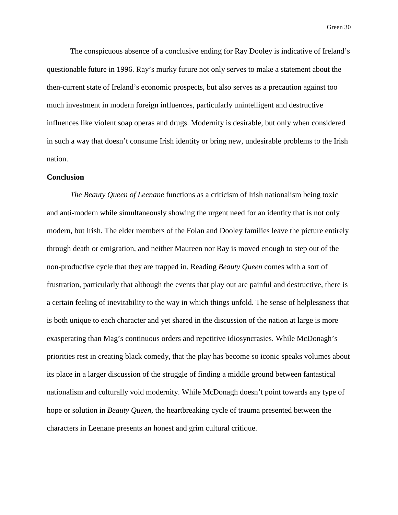The conspicuous absence of a conclusive ending for Ray Dooley is indicative of Ireland's questionable future in 1996. Ray's murky future not only serves to make a statement about the then-current state of Ireland's economic prospects, but also serves as a precaution against too much investment in modern foreign influences, particularly unintelligent and destructive influences like violent soap operas and drugs. Modernity is desirable, but only when considered in such a way that doesn't consume Irish identity or bring new, undesirable problems to the Irish nation.

## **Conclusion**

*The Beauty Queen of Leenane* functions as a criticism of Irish nationalism being toxic and anti-modern while simultaneously showing the urgent need for an identity that is not only modern, but Irish. The elder members of the Folan and Dooley families leave the picture entirely through death or emigration, and neither Maureen nor Ray is moved enough to step out of the non-productive cycle that they are trapped in. Reading *Beauty Queen* comes with a sort of frustration, particularly that although the events that play out are painful and destructive, there is a certain feeling of inevitability to the way in which things unfold. The sense of helplessness that is both unique to each character and yet shared in the discussion of the nation at large is more exasperating than Mag's continuous orders and repetitive idiosyncrasies. While McDonagh's priorities rest in creating black comedy, that the play has become so iconic speaks volumes about its place in a larger discussion of the struggle of finding a middle ground between fantastical nationalism and culturally void modernity. While McDonagh doesn't point towards any type of hope or solution in *Beauty Queen,* the heartbreaking cycle of trauma presented between the characters in Leenane presents an honest and grim cultural critique.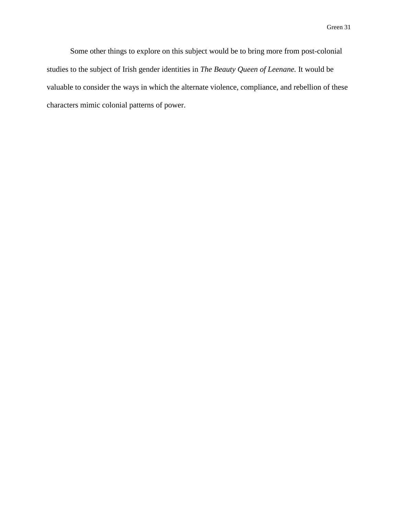Some other things to explore on this subject would be to bring more from post-colonial studies to the subject of Irish gender identities in *The Beauty Queen of Leenane.* It would be valuable to consider the ways in which the alternate violence, compliance, and rebellion of these characters mimic colonial patterns of power.